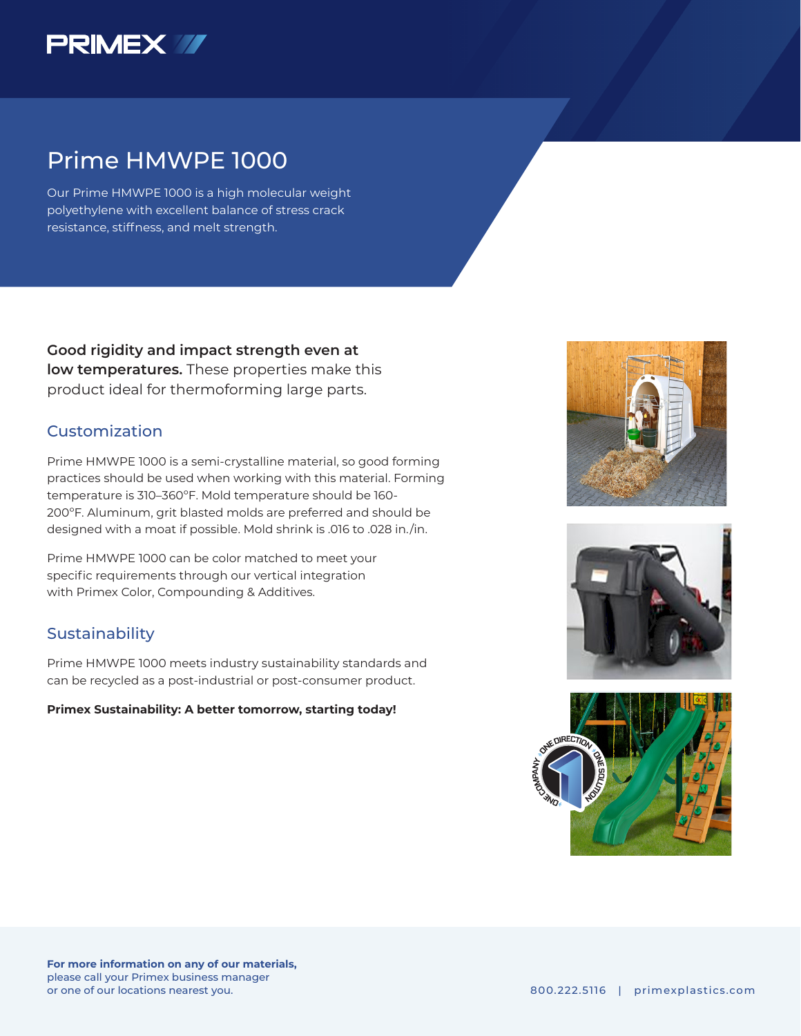

## Prime HMWPE 1000

Our Prime HMWPE 1000 is a high molecular weight polyethylene with excellent balance of stress crack resistance, stiffness, and melt strength.

**Good rigidity and impact strength even at low temperatures.** These properties make this product ideal for thermoforming large parts.

## Customization

Prime HMWPE 1000 is a semi-crystalline material, so good forming practices should be used when working with this material. Forming temperature is 310–360ºF. Mold temperature should be 160- 200ºF. Aluminum, grit blasted molds are preferred and should be designed with a moat if possible. Mold shrink is .016 to .028 in./in.

Prime HMWPE 1000 can be color matched to meet your specific requirements through our vertical integration with Primex Color, Compounding & Additives.

### Sustainability

Prime HMWPE 1000 meets industry sustainability standards and can be recycled as a post-industrial or post-consumer product.

#### **Primex Sustainability: A better tomorrow, starting today!**